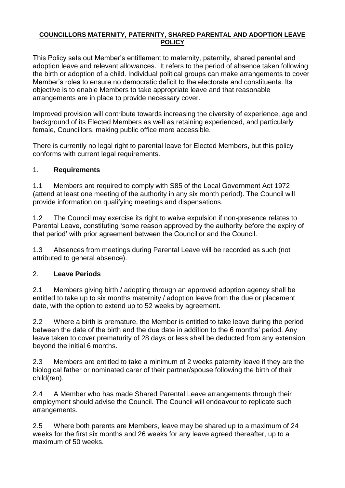#### **COUNCILLORS MATERNITY, PATERNITY, SHARED PARENTAL AND ADOPTION LEAVE POLICY**

This Policy sets out Member's entitlement to maternity, paternity, shared parental and adoption leave and relevant allowances. It refers to the period of absence taken following the birth or adoption of a child. Individual political groups can make arrangements to cover Member's roles to ensure no democratic deficit to the electorate and constituents. Its objective is to enable Members to take appropriate leave and that reasonable arrangements are in place to provide necessary cover.

Improved provision will contribute towards increasing the diversity of experience, age and background of its Elected Members as well as retaining experienced, and particularly female, Councillors, making public office more accessible.

There is currently no legal right to parental leave for Elected Members, but this policy conforms with current legal requirements.

### 1. **Requirements**

1.1 Members are required to comply with S85 of the Local Government Act 1972 (attend at least one meeting of the authority in any six month period). The Council will provide information on qualifying meetings and dispensations.

1.2 The Council may exercise its right to waive expulsion if non-presence relates to Parental Leave, constituting 'some reason approved by the authority before the expiry of that period' with prior agreement between the Councillor and the Council.

1.3 Absences from meetings during Parental Leave will be recorded as such (not attributed to general absence).

### 2. **Leave Periods**

2.1 Members giving birth / adopting through an approved adoption agency shall be entitled to take up to six months maternity / adoption leave from the due or placement date, with the option to extend up to 52 weeks by agreement.

2.2 Where a birth is premature, the Member is entitled to take leave during the period between the date of the birth and the due date in addition to the 6 months' period. Any leave taken to cover prematurity of 28 days or less shall be deducted from any extension beyond the initial 6 months.

2.3 Members are entitled to take a minimum of 2 weeks paternity leave if they are the biological father or nominated carer of their partner/spouse following the birth of their child(ren).

2.4 A Member who has made Shared Parental Leave arrangements through their employment should advise the Council. The Council will endeavour to replicate such arrangements.

2.5 Where both parents are Members, leave may be shared up to a maximum of 24 weeks for the first six months and 26 weeks for any leave agreed thereafter, up to a maximum of 50 weeks.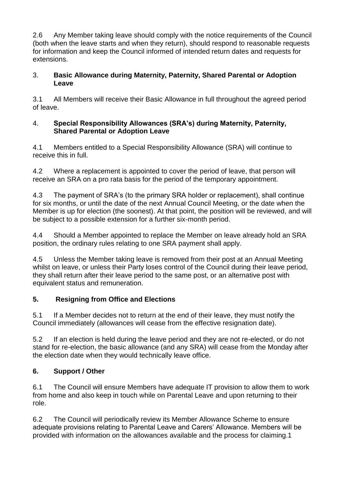2.6 Any Member taking leave should comply with the notice requirements of the Council (both when the leave starts and when they return), should respond to reasonable requests for information and keep the Council informed of intended return dates and requests for extensions.

### 3. **Basic Allowance during Maternity, Paternity, Shared Parental or Adoption Leave**

3.1 All Members will receive their Basic Allowance in full throughout the agreed period of leave.

### 4. **Special Responsibility Allowances (SRA's) during Maternity, Paternity, Shared Parental or Adoption Leave**

4.1 Members entitled to a Special Responsibility Allowance (SRA) will continue to receive this in full.

4.2 Where a replacement is appointed to cover the period of leave, that person will receive an SRA on a pro rata basis for the period of the temporary appointment.

4.3 The payment of SRA's (to the primary SRA holder or replacement), shall continue for six months, or until the date of the next Annual Council Meeting, or the date when the Member is up for election (the soonest). At that point, the position will be reviewed, and will be subject to a possible extension for a further six-month period.

4.4 Should a Member appointed to replace the Member on leave already hold an SRA position, the ordinary rules relating to one SRA payment shall apply.

4.5 Unless the Member taking leave is removed from their post at an Annual Meeting whilst on leave, or unless their Party loses control of the Council during their leave period, they shall return after their leave period to the same post, or an alternative post with equivalent status and remuneration.

## **5. Resigning from Office and Elections**

5.1 If a Member decides not to return at the end of their leave, they must notify the Council immediately (allowances will cease from the effective resignation date).

5.2 If an election is held during the leave period and they are not re-elected, or do not stand for re-election, the basic allowance (and any SRA) will cease from the Monday after the election date when they would technically leave office.

# **6. Support / Other**

6.1 The Council will ensure Members have adequate IT provision to allow them to work from home and also keep in touch while on Parental Leave and upon returning to their role.

6.2 The Council will periodically review its Member Allowance Scheme to ensure adequate provisions relating to Parental Leave and Carers' Allowance. Members will be provided with information on the allowances available and the process for claiming.1